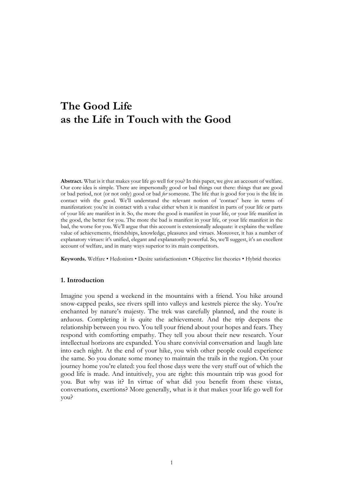# **The Good Life as the Life in Touch with the Good**

**Abstract.** What is it that makes your life go well for you? In this paper, we give an account of welfare. Our core idea is simple. There are impersonally good or bad things out there: things that are good or bad period, not (or not only) good or bad *for* someone. The life that is good for you is the life in contact with the good. We'll understand the relevant notion of 'contact' here in terms of manifestation: you're in contact with a value either when it is manifest in parts of your life or parts of your life are manifest in it. So, the more the good is manifest in your life, or your life manifest in the good, the better for you. The more the bad is manifest in your life, or your life manifest in the bad, the worse for you. We'll argue that this account is extensionally adequate: it explains the welfare value of achievements, friendships, knowledge, pleasures and virtues. Moreover, it has a number of explanatory virtues: it's unified, elegant and explanatorily powerful. So, we'll suggest, it's an excellent account of welfare, and in many ways superior to its main competitors.

**Keywords.** Welfare • Hedonism • Desire satisfactionism • Objective list theories • Hybrid theories

## **1. Introduction**

Imagine you spend a weekend in the mountains with a friend. You hike around snow-capped peaks, see rivers spill into valleys and kestrels pierce the sky. You're enchanted by nature's majesty. The trek was carefully planned, and the route is arduous. Completing it is quite the achievement. And the trip deepens the relationship between you two. You tell your friend about your hopes and fears. They respond with comforting empathy. They tell you about their new research. Your intellectual horizons are expanded. You share convivial conversation and laugh late into each night. At the end of your hike, you wish other people could experience the same. So you donate some money to maintain the trails in the region. On your journey home you're elated: you feel those days were the very stuff out of which the good life is made. And intuitively, you are right: this mountain trip was good for you. But why was it? In virtue of what did you benefit from these vistas, conversations, exertions? More generally, what is it that makes your life go well for you?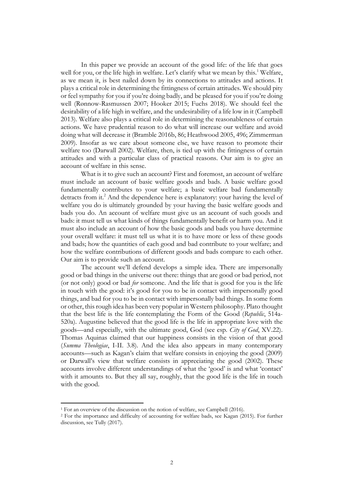In this paper we provide an account of the good life: of the life that goes well for you, or the life high in welfare. Let's clarify what we mean by this. <sup>1</sup> Welfare, as we mean it, is best nailed down by its connections to attitudes and actions. It plays a critical role in determining the fittingness of certain attitudes. We should pity or feel sympathy for you if you're doing badly, and be pleased for you if you're doing well (Rønnow-Rasmussen 2007; Hooker 2015; Fuchs 2018). We should feel the desirability of a life high in welfare, and the undesirability of a life low in it (Campbell 2013). Welfare also plays a critical role in determining the reasonableness of certain actions. We have prudential reason to do what will increase our welfare and avoid doing what will decrease it (Bramble 2016b, 86; Heathwood 2005, 496; Zimmerman 2009). Insofar as we care about someone else, we have reason to promote their welfare too (Darwall 2002). Welfare, then, is tied up with the fittingness of certain attitudes and with a particular class of practical reasons. Our aim is to give an account of welfare in this sense.

What is it to give such an account? First and foremost, an account of welfare must include an account of basic welfare goods and bads. A basic welfare good fundamentally contributes to your welfare; a basic welfare bad fundamentally detracts from it.<sup>2</sup> And the dependence here is explanatory: your having the level of welfare you do is ultimately grounded by your having the basic welfare goods and bads you do. An account of welfare must give us an account of such goods and bads: it must tell us what kinds of things fundamentally benefit or harm you. And it must also include an account of how the basic goods and bads you have determine your overall welfare: it must tell us what it is to have more or less of these goods and bads; how the quantities of each good and bad contribute to your welfare; and how the welfare contributions of different goods and bads compare to each other. Our aim is to provide such an account.

The account we'll defend develops a simple idea. There are impersonally good or bad things in the universe out there: things that are good or bad period, not (or not only) good or bad *for* someone. And the life that is good for you is the life in touch with the good: it's good for you to be in contact with impersonally good things, and bad for you to be in contact with impersonally bad things. In some form or other, this rough idea has been very popular in Western philosophy. Plato thought that the best life is the life contemplating the Form of the Good (*Republic*, 514a-520a). Augustine believed that the good life is the life in appropriate love with the goods—and especially, with the ultimate good, God (see esp. *City of God*, XV.22). Thomas Aquinas claimed that our happiness consists in the vision of that good (*Summa Theologiae*, I-II. 3.8). And the idea also appears in many contemporary accounts—such as Kagan's claim that welfare consists in enjoying the good (2009) or Darwall's view that welfare consists in appreciating the good (2002). These accounts involve different understandings of what the 'good' is and what 'contact' with it amounts to. But they all say, roughly, that the good life is the life in touch with the good.

<sup>1</sup> For an overview of the discussion on the notion of welfare, see Campbell (2016).

<sup>2</sup> For the importance and difficulty of accounting for welfare bads, see Kagan (2015). For further discussion, see Tully (2017).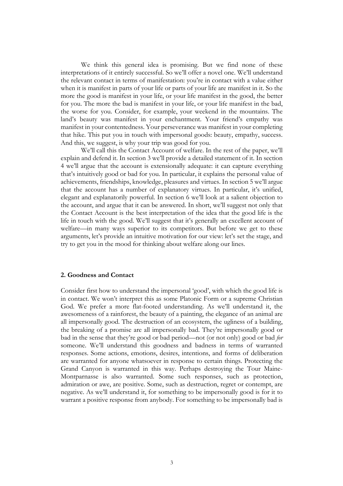We think this general idea is promising. But we find none of these interpretations of it entirely successful. So we'll offer a novel one. We'll understand the relevant contact in terms of manifestation: you're in contact with a value either when it is manifest in parts of your life or parts of your life are manifest in it. So the more the good is manifest in your life, or your life manifest in the good, the better for you. The more the bad is manifest in your life, or your life manifest in the bad, the worse for you. Consider, for example, your weekend in the mountains. The land's beauty was manifest in your enchantment. Your friend's empathy was manifest in your contentedness. Your perseverance was manifest in your completing that hike. This put you in touch with impersonal goods: beauty, empathy, success. And this, we suggest, is why your trip was good for you.

We'll call this the Contact Account of welfare. In the rest of the paper, we'll explain and defend it. In section 3 we'll provide a detailed statement of it. In section 4 we'll argue that the account is extensionally adequate: it can capture everything that's intuitively good or bad for you. In particular, it explains the personal value of achievements, friendships, knowledge, pleasures and virtues. In section 5 we'll argue that the account has a number of explanatory virtues. In particular, it's unified, elegant and explanatorily powerful. In section 6 we'll look at a salient objection to the account, and argue that it can be answered. In short, we'll suggest not only that the Contact Account is the best interpretation of the idea that the good life is the life in touch with the good. We'll suggest that it's generally an excellent account of welfare—in many ways superior to its competitors. But before we get to these arguments, let's provide an intuitive motivation for our view: let's set the stage, and try to get you in the mood for thinking about welfare along our lines.

## **2. Goodness and Contact**

Consider first how to understand the impersonal 'good', with which the good life is in contact. We won't interpret this as some Platonic Form or a supreme Christian God. We prefer a more flat-footed understanding. As we'll understand it, the awesomeness of a rainforest, the beauty of a painting, the elegance of an animal are all impersonally good. The destruction of an ecosystem, the ugliness of a building, the breaking of a promise are all impersonally bad. They're impersonally good or bad in the sense that they're good or bad period—not (or not only) good or bad *for* someone. We'll understand this goodness and badness in terms of warranted responses. Some actions, emotions, desires, intentions, and forms of deliberation are warranted for anyone whatsoever in response to certain things. Protecting the Grand Canyon is warranted in this way. Perhaps destroying the Tour Maine-Montparnasse is also warranted. Some such responses, such as protection, admiration or awe, are positive. Some, such as destruction, regret or contempt, are negative. As we'll understand it, for something to be impersonally good is for it to warrant a positive response from anybody. For something to be impersonally bad is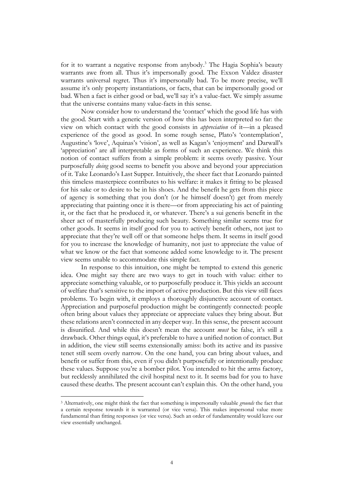for it to warrant a negative response from anybody.<sup>3</sup> The Hagia Sophia's beauty warrants awe from all. Thus it's impersonally good. The Exxon Valdez disaster warrants universal regret. Thus it's impersonally bad. To be more precise, we'll assume it's only property instantiations, or facts, that can be impersonally good or bad. When a fact is either good or bad, we'll say it's a value-fact. We simply assume that the universe contains many value-facts in this sense.

Now consider how to understand the 'contact' which the good life has with the good. Start with a generic version of how this has been interpreted so far: the view on which contact with the good consists in *appreciation* of it—in a pleased experience of the good as good. In some rough sense, Plato's 'contemplation', Augustine's 'love', Aquinas's 'vision', as well as Kagan's 'enjoyment' and Darwall's 'appreciation' are all interpretable as forms of such an experience. We think this notion of contact suffers from a simple problem: it seems overly passive. Your purposefully *doing* good seems to benefit you above and beyond your appreciation of it. Take Leonardo's Last Supper. Intuitively, the sheer fact that Leonardo painted this timeless masterpiece contributes to his welfare: it makes it fitting to be pleased for his sake or to desire to be in his shoes. And the benefit he gets from this piece of agency is something that you don't (or he himself doesn't) get from merely appreciating that painting once it is there—or from appreciating his act of painting it, or the fact that he produced it, or whatever. There's a sui generis benefit in the sheer act of masterfully producing such beauty. Something similar seems true for other goods. It seems in itself good for you to actively benefit others, not just to appreciate that they're well off or that someone helps them. It seems in itself good for you to increase the knowledge of humanity, not just to appreciate the value of what we know or the fact that someone added some knowledge to it. The present view seems unable to accommodate this simple fact.

In response to this intuition, one might be tempted to extend this generic idea. One might say there are two ways to get in touch with value: either to appreciate something valuable, or to purposefully produce it. This yields an account of welfare that's sensitive to the import of active production. But this view still faces problems. To begin with, it employs a thoroughly disjunctive account of contact. Appreciation and purposeful production might be contingently connected: people often bring about values they appreciate or appreciate values they bring about. But these relations aren't connected in any deeper way. In this sense, the present account is disunified. And while this doesn't mean the account *must* be false, it's still a drawback. Other things equal, it's preferable to have a unified notion of contact. But in addition, the view still seems extensionally amiss: both its active and its passive tenet still seem overly narrow. On the one hand, you can bring about values, and benefit or suffer from this, even if you didn't purposefully or intentionally produce these values. Suppose you're a bomber pilot. You intended to hit the arms factory, but recklessly annihilated the civil hospital next to it. It seems bad for you to have caused these deaths. The present account can't explain this. On the other hand, you

<sup>3</sup> Alternatively, one might think the fact that something is impersonally valuable *grounds* the fact that a certain response towards it is warranted (or vice versa). This makes impersonal value more fundamental than fitting responses (or vice versa). Such an order of fundamentality would leave our view essentially unchanged.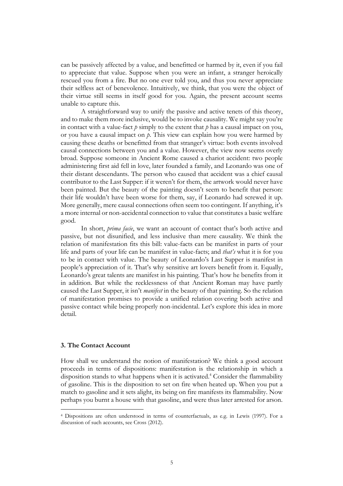can be passively affected by a value, and benefitted or harmed by it, even if you fail to appreciate that value. Suppose when you were an infant, a stranger heroically rescued you from a fire. But no one ever told you, and thus you never appreciate their selfless act of benevolence. Intuitively, we think, that you were the object of their virtue still seems in itself good for you. Again, the present account seems unable to capture this.

A straightforward way to unify the passive and active tenets of this theory, and to make them more inclusive, would be to invoke causality. We might say you're in contact with a value-fact  $p$  simply to the extent that  $p$  has a causal impact on you, or you have a causal impact on *p*. This view can explain how you were harmed by causing these deaths or benefitted from that stranger's virtue: both events involved causal connections between you and a value. However, the view now seems overly broad. Suppose someone in Ancient Rome caused a chariot accident: two people administering first aid fell in love, later founded a family, and Leonardo was one of their distant descendants. The person who caused that accident was a chief causal contributor to the Last Supper: if it weren't for them, the artwork would never have been painted. But the beauty of the painting doesn't seem to benefit that person: their life wouldn't have been worse for them, say, if Leonardo had screwed it up. More generally, mere causal connections often seem too contingent. If anything, it's a more internal or non-accidental connection to value that constitutes a basic welfare good.

In short, *prima facie*, we want an account of contact that's both active and passive, but not disunified, and less inclusive than mere causality. We think the relation of manifestation fits this bill: value-facts can be manifest in parts of your life and parts of your life can be manifest in value-facts; and *that's* what it is for you to be in contact with value. The beauty of Leonardo's Last Supper is manifest in people's appreciation of it. That's why sensitive art lovers benefit from it. Equally, Leonardo's great talents are manifest in his painting. That's how he benefits from it in addition. But while the recklessness of that Ancient Roman may have partly caused the Last Supper, it isn't *manifest* in the beauty of that painting. So the relation of manifestation promises to provide a unified relation covering both active and passive contact while being properly non-incidental. Let's explore this idea in more detail.

### **3. The Contact Account**

How shall we understand the notion of manifestation? We think a good account proceeds in terms of dispositions: manifestation is the relationship in which a disposition stands to what happens when it is activated. <sup>4</sup> Consider the flammability of gasoline. This is the disposition to set on fire when heated up. When you put a match to gasoline and it sets alight, its being on fire manifests its flammability. Now perhaps you burnt a house with that gasoline, and were thus later arrested for arson.

<sup>4</sup> Dispositions are often understood in terms of counterfactuals, as e.g. in Lewis (1997). For a discussion of such accounts, see Cross (2012).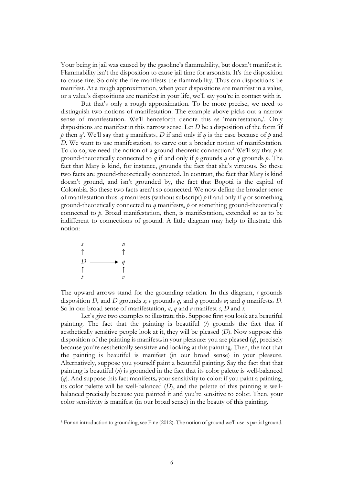Your being in jail was caused by the gasoline's flammability, but doesn't manifest it. Flammability isn't the disposition to cause jail time for arsonists. It's the disposition to cause fire. So only the fire manifests the flammability. Thus can dispositions be manifest. At a rough approximation, when your dispositions are manifest in a value, or a value's dispositions are manifest in your life, we'll say you're in contact with it.

But that's only a rough approximation. To be more precise, we need to distinguish two notions of manifestation. The example above picks out a narrow sense of manifestation. We'll henceforth denote this as 'manifestation*n*'. Only dispositions are manifest in this narrow sense. Let *D* be a disposition of the form 'if *p* then *q*'. We'll say that *q* manifests*<sup>n</sup> D* if and only if *q* is the case because of *p* and *D*. We want to use manifestation<sub>n</sub> to carve out a broader notion of manifestation. To do so, we need the notion of a ground-theoretic connection.<sup>5</sup> We'll say that  $p$  is ground-theoretically connected to *q* if and only if *p* grounds *q* or *q* grounds *p*. The fact that Mary is kind, for instance, grounds the fact that she's virtuous. So these two facts are ground-theoretically connected. In contrast, the fact that Mary is kind doesn't ground, and isn't grounded by, the fact that Bogotá is the capital of Colombia. So these two facts aren't so connected. We now define the broader sense of manifestation thus: *q* manifests (without subscript) *p* if and only if *q* or something ground-theoretically connected to *q* manifests*<sup>n</sup> p* or something ground-theoretically connected to *p*. Broad manifestation, then, is manifestation*<sup>n</sup>* extended so as to be indifferent to connections of ground. A little diagram may help to illustrate this notion:



The upward arrows stand for the grounding relation. In this diagram, *t* grounds disposition *D*, and *D* grounds *s*; *v* grounds *q*, and *q* grounds *u*; and *q* manifests*<sup>n</sup> D*. So in our broad sense of manifestation, *u*, *q* and *v* manifest *s*, *D* and *t*.

Let's give two examples to illustrate this. Suppose first you look at a beautiful painting. The fact that the painting is beautiful (*t*) grounds the fact that if aesthetically sensitive people look at it, they will be pleased (*D*). Now suppose this disposition of the painting is manifest*<sup>n</sup>* in your pleasure: you are pleased (*q*), precisely because you're aesthetically sensitive and looking at this painting. Then, the fact that the painting is beautiful is manifest (in our broad sense) in your pleasure. Alternatively, suppose you yourself paint a beautiful painting. Say the fact that that painting is beautiful  $(u)$  is grounded in the fact that its color palette is well-balanced (*q*). And suppose this fact manifests*<sup>n</sup>* your sensitivity to color: if you paint a painting, its color palette will be well-balanced (*D*), and the palette of this painting is wellbalanced precisely because you painted it and you're sensitive to color. Then, your color sensitivity is manifest (in our broad sense) in the beauty of this painting.

<sup>5</sup> For an introduction to grounding, see Fine (2012). The notion of ground we'll use is partial ground.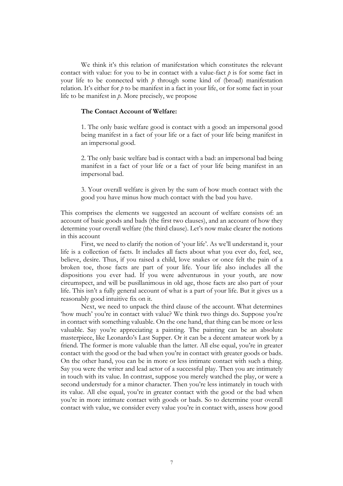We think it's this relation of manifestation which constitutes the relevant contact with value: for you to be in contact with a value-fact  $p$  is for some fact in your life to be connected with  $p$  through some kind of (broad) manifestation relation. It's either for *p* to be manifest in a fact in your life, or for some fact in your life to be manifest in *p*. More precisely, we propose

# **The Contact Account of Welfare:**

1. The only basic welfare good is contact with a good: an impersonal good being manifest in a fact of your life or a fact of your life being manifest in an impersonal good.

2. The only basic welfare bad is contact with a bad: an impersonal bad being manifest in a fact of your life or a fact of your life being manifest in an impersonal bad.

3. Your overall welfare is given by the sum of how much contact with the good you have minus how much contact with the bad you have.

This comprises the elements we suggested an account of welfare consists of: an account of basic goods and bads (the first two clauses), and an account of how they determine your overall welfare (the third clause). Let's now make clearer the notions in this account

First, we need to clarify the notion of 'your life'. As we'll understand it, your life is a collection of facts. It includes all facts about what you ever do, feel, see, believe, desire. Thus, if you raised a child, love snakes or once felt the pain of a broken toe, those facts are part of your life. Your life also includes all the dispositions you ever had. If you were adventurous in your youth, are now circumspect, and will be pusillanimous in old age, those facts are also part of your life. This isn't a fully general account of what is a part of your life. But it gives us a reasonably good intuitive fix on it.

Next, we need to unpack the third clause of the account. What determines 'how much' you're in contact with value? We think two things do. Suppose you're in contact with something valuable. On the one hand, that thing can be more or less valuable. Say you're appreciating a painting. The painting can be an absolute masterpiece, like Leonardo's Last Supper. Or it can be a decent amateur work by a friend. The former is more valuable than the latter. All else equal, you're in greater contact with the good or the bad when you're in contact with greater goods or bads. On the other hand, you can be in more or less intimate contact with such a thing. Say you were the writer and lead actor of a successful play. Then you are intimately in touch with its value. In contrast, suppose you merely watched the play, or were a second understudy for a minor character. Then you're less intimately in touch with its value. All else equal, you're in greater contact with the good or the bad when you're in more intimate contact with goods or bads. So to determine your overall contact with value, we consider every value you're in contact with, assess how good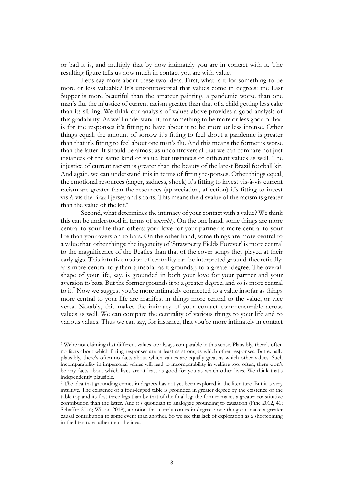or bad it is, and multiply that by how intimately you are in contact with it. The resulting figure tells us how much in contact you are with value.

Let's say more about these two ideas. First, what is it for something to be more or less valuable? It's uncontroversial that values come in degrees: the Last Supper is more beautiful than the amateur painting, a pandemic worse than one man's flu, the injustice of current racism greater than that of a child getting less cake than its sibling. We think our analysis of values above provides a good analysis of this gradability. As we'll understand it, for something to be more or less good or bad is for the responses it's fitting to have about it to be more or less intense. Other things equal, the amount of sorrow it's fitting to feel about a pandemic is greater than that it's fitting to feel about one man's flu. And this means the former is worse than the latter. It should be almost as uncontroversial that we can compare not just instances of the same kind of value, but instances of different values as well. The injustice of current racism is greater than the beauty of the latest Brazil football kit. And again, we can understand this in terms of fitting responses. Other things equal, the emotional resources (anger, sadness, shock) it's fitting to invest vis-à-vis current racism are greater than the resources (appreciation, affection) it's fitting to invest vis-à-vis the Brazil jersey and shorts. This means the disvalue of the racism is greater than the value of the kit.<sup>6</sup>

Second, what determines the intimacy of your contact with a value? We think this can be understood in terms of *centrality*. On the one hand, some things are more central to your life than others: your love for your partner is more central to your life than your aversion to bats. On the other hand, some things are more central to a value than other things: the ingenuity of 'Strawberry Fields Forever' is more central to the magnificence of the Beatles than that of the cover songs they played at their early gigs. This intuitive notion of centrality can be interpreted ground-theoretically: *x* is more central to *y* than *z* insofar as it grounds *y* to a greater degree. The overall shape of your life, say, is grounded in both your love for your partner and your aversion to bats. But the former grounds it to a greater degree, and so is more central to it.<sup>7</sup> Now we suggest you're more intimately connected to a value insofar as things more central to your life are manifest in things more central to the value, or vice versa. Notably, this makes the intimacy of your contact commensurable across values as well. We can compare the centrality of various things to your life and to various values. Thus we can say, for instance, that you're more intimately in contact

<sup>6</sup> We're not claiming that different values are always comparable in this sense. Plausibly, there's often no facts about which fitting responses are at least as strong as which other responses. But equally plausibly, there's often no facts about which values are equally great as which other values. Such incomparability in impersonal values will lead to incomparability in welfare too: often, there won't be any facts about which lives are at least as good for you as which other lives. We think that's independently plausible.

<sup>7</sup> The idea that grounding comes in degrees has not yet been explored in the literature. But it is very intuitive. The existence of a four-legged table is grounded in greater degree by the existence of the table top and its first three legs than by that of the final leg: the former makes a greater constitutive contribution than the latter. And it's quotidian to analogize grounding to causation (Fine 2012, 40; Schaffer 2016; Wilson 2018), a notion that clearly comes in degrees: one thing can make a greater causal contribution to some event than another. So we see this lack of exploration as a shortcoming in the literature rather than the idea.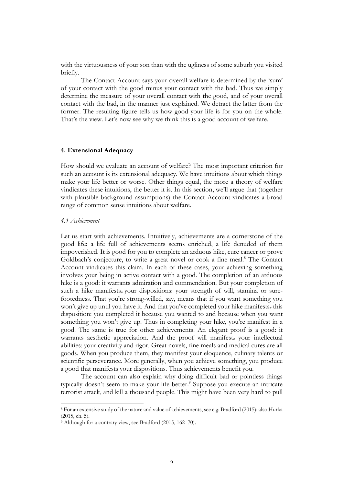with the virtuousness of your son than with the ugliness of some suburb you visited briefly.

The Contact Account says your overall welfare is determined by the 'sum' of your contact with the good minus your contact with the bad. Thus we simply determine the measure of your overall contact with the good, and of your overall contact with the bad, in the manner just explained. We detract the latter from the former. The resulting figure tells us how good your life is for you on the whole. That's the view. Let's now see why we think this is a good account of welfare.

## **4. Extensional Adequacy**

How should we evaluate an account of welfare? The most important criterion for such an account is its extensional adequacy. We have intuitions about which things make your life better or worse. Other things equal, the more a theory of welfare vindicates these intuitions, the better it is. In this section, we'll argue that (together with plausible background assumptions) the Contact Account vindicates a broad range of common sense intuitions about welfare.

#### *4.1 Achievement*

Let us start with achievements. Intuitively, achievements are a cornerstone of the good life: a life full of achievements seems enriched, a life denuded of them impoverished. It is good for you to complete an arduous hike, cure cancer or prove Goldbach's conjecture, to write a great novel or cook a fine meal.<sup>8</sup> The Contact Account vindicates this claim. In each of these cases, your achieving something involves your being in active contact with a good. The completion of an arduous hike is a good: it warrants admiration and commendation. But your completion of such a hike manifests<sub>n</sub> your dispositions: your strength of will, stamina or surefootedness. That you're strong-willed, say, means that if you want something you won't give up until you have it. And that you've completed your hike manifests*<sup>n</sup>* this disposition: you completed it because you wanted to and because when you want something you won't give up. Thus in completing your hike, you're manifest in a good. The same is true for other achievements. An elegant proof is a good: it warrants aesthetic appreciation. And the proof will manifest<sub>n</sub> your intellectual abilities: your creativity and rigor. Great novels, fine meals and medical cures are all goods. When you produce them, they manifest your eloquence, culinary talents or scientific perseverance. More generally, when you achieve something, you produce a good that manifests your dispositions. Thus achievements benefit you.

The account can also explain why doing difficult bad or pointless things typically doesn't seem to make your life better.<sup>9</sup> Suppose you execute an intricate terrorist attack, and kill a thousand people. This might have been very hard to pull

<sup>8</sup> For an extensive study of the nature and value of achievements, see e.g. Bradford (2015); also Hurka (2015, ch. 5).

<sup>&</sup>lt;sup>9</sup> Although for a contrary view, see Bradford (2015, 162-70).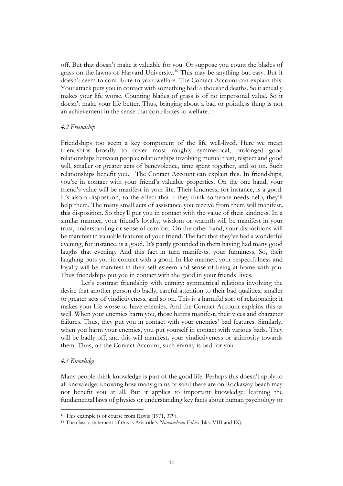off. But that doesn't make it valuable for you. Or suppose you count the blades of grass on the lawns of Harvard University.10 This may be anything but easy. But it doesn't seem to contribute to your welfare. The Contact Account can explain this. Your attack puts you in contact with something bad: a thousand deaths. So it actually makes your life worse. Counting blades of grass is of no impersonal value. So it doesn't make your life better. Thus, bringing about a bad or pointless thing is not an achievement in the sense that contributes to welfare.

# *4.2 Friendship*

Friendships too seem a key component of the life well-lived. Here we mean friendships broadly to cover most roughly symmetrical, prolonged good relationships between people: relationships involving mutual trust, respect and good will, smaller or greater acts of benevolence, time spent together, and so on. Such relationships benefit you.<sup>11</sup> The Contact Account can explain this. In friendships, you're in contact with your friend's valuable properties. On the one hand, your friend's value will be manifest in your life. Their kindness, for instance, is a good. It's also a disposition, to the effect that if they think someone needs help, they'll help them. The many small acts of assistance you receive from them will manifest*<sup>n</sup>* this disposition. So they'll put you in contact with the value of their kindness. In a similar manner, your friend's loyalty, wisdom or warmth will be manifest in your trust, understanding or sense of comfort. On the other hand, your dispositions will be manifest in valuable features of your friend. The fact that they've had a wonderful evening, for instance, is a good. It's partly grounded in them having had many good laughs that evening. And this fact in turn manifests*<sup>n</sup>* your funniness. So, their laughing puts you in contact with a good. In like manner, your respectfulness and loyalty will be manifest in their self-esteem and sense of being at home with you. Thus friendships put you in contact with the good in your friends' lives.

Let's contrast friendship with enmity: symmetrical relations involving the desire that another person do badly, careful attention to their bad qualities, smaller or greater acts of vindictiveness, and so on. This is a harmful sort of relationship: it makes your life worse to have enemies. And the Contact Account explains this as well. When your enemies harm you, those harms manifest*<sup>n</sup>* their vices and character failures. Thus, they put you in contact with your enemies' bad features. Similarly, when you harm your enemies, you put yourself in contact with various bads. They will be badly off, and this will manifest*<sup>n</sup>* your vindictiveness or animosity towards them. Thus, on the Contact Account, such enmity is bad for you.

#### *4.3 Knowledge*

Many people think knowledge is part of the good life. Perhaps this doesn't apply to all knowledge: knowing how many grains of sand there are on Rockaway beach may not benefit you at all. But it applies to important knowledge: learning the fundamental laws of physics or understanding key facts about human psychology or

<sup>10</sup> This example is of course from Rawls (1971, 379).

<sup>11</sup> The classic statement of this is Aristotle's *Nicomachean Ethics* (bks. VIII and IX).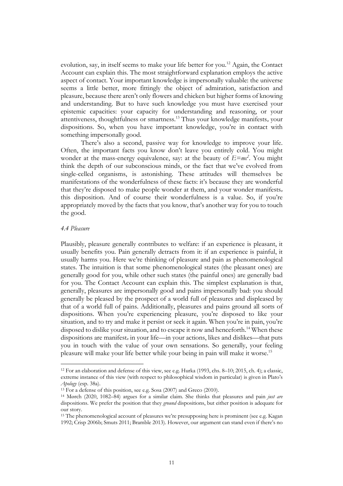evolution, say, in itself seems to make your life better for you.12 Again, the Contact Account can explain this. The most straightforward explanation employs the active aspect of contact. Your important knowledge is impersonally valuable: the universe seems a little better, more fittingly the object of admiration, satisfaction and pleasure, because there aren't only flowers and chicken but higher forms of knowing and understanding. But to have such knowledge you must have exercised your epistemic capacities: your capacity for understanding and reasoning, or your attentiveness, thoughtfulness or smartness.13 Thus your knowledge manifests*<sup>n</sup>* your dispositions. So, when you have important knowledge, you're in contact with something impersonally good.

There's also a second, passive way for knowledge to improve your life. Often, the important facts you know don't leave you entirely cold. You might wonder at the mass-energy equivalence, say: at the beauty of  $E=mc^2$ . You might think the depth of our subconscious minds, or the fact that we've evolved from single-celled organisms, is astonishing. These attitudes will themselves be manifestations of the wonderfulness of these facts: it's because they are wonderful that they're disposed to make people wonder at them, and your wonder manifests*<sup>n</sup>* this disposition. And of course their wonderfulness is a value. So, if you're appropriately moved by the facts that you know, that's another way for you to touch the good.

#### *4.4 Pleasure*

Plausibly, pleasure generally contributes to welfare: if an experience is pleasant, it usually benefits you. Pain generally detracts from it: if an experience is painful, it usually harms you. Here we're thinking of pleasure and pain as phenomenological states. The intuition is that some phenomenological states (the pleasant ones) are generally good for you, while other such states (the painful ones) are generally bad for you. The Contact Account can explain this. The simplest explanation is that, generally, pleasures are impersonally good and pains impersonally bad: you should generally be pleased by the prospect of a world full of pleasures and displeased by that of a world full of pains. Additionally, pleasures and pains ground all sorts of dispositions. When you're experiencing pleasure, you're disposed to like your situation, and to try and make it persist or seek it again. When you're in pain, you're disposed to dislike your situation, and to escape it now and henceforth.<sup>14</sup> When these dispositions are manifest*<sup>n</sup>* in your life—in your actions, likes and dislikes—that puts you in touch with the value of your own sensations. So generally, your feeling pleasure will make your life better while your being in pain will make it worse.15

<sup>12</sup> For an elaboration and defense of this view, see e.g. Hurka (1993, chs. 8–10; 2015, ch. 4); a classic, extreme instance of this view (with respect to philosophical wisdom in particular) is given in Plato's *Apology* (esp. 38a).

<sup>&</sup>lt;sup>13</sup> For a defense of this position, see e.g. Sosa (2007) and Greco (2010).

<sup>14</sup> Mørch (2020, 1082–84) argues for a similar claim. She thinks that pleasures and pain *just are* dispositions. We prefer the position that they *ground* dispositions, but either position is adequate for our story.

<sup>15</sup> The phenomenological account of pleasures we're presupposing here is prominent (see e.g. Kagan 1992; Crisp 2006b; Smuts 2011; Bramble 2013). However, our argument can stand even if there's no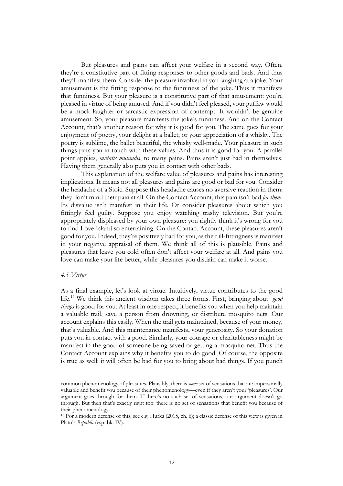But pleasures and pains can affect your welfare in a second way. Often, they're a constitutive part of fitting responses to other goods and bads. And thus they'll manifest them. Consider the pleasure involved in you laughing at a joke. Your amusement is the fitting response to the funniness of the joke. Thus it manifests that funniness. But your pleasure is a constitutive part of that amusement: you're pleased in virtue of being amused. And if you didn't feel pleased, your guffaw would be a mock laughter or sarcastic expression of contempt. It wouldn't be genuine amusement. So, your pleasure manifests the joke's funniness. And on the Contact Account, that's another reason for why it is good for you. The same goes for your enjoyment of poetry, your delight at a ballet, or your appreciation of a whisky. The poetry is sublime, the ballet beautiful, the whisky well-made. Your pleasure in such things puts you in touch with these values. And thus it is good for you. A parallel point applies, *mutatis mutandis*, to many pains. Pains aren't just bad in themselves. Having them generally also puts you in contact with other bads.

This explanation of the welfare value of pleasures and pains has interesting implications. It means not all pleasures and pains are good or bad for you. Consider the headache of a Stoic. Suppose this headache causes no aversive reaction in them: they don't mind their pain at all. On the Contact Account, this pain isn't bad *for them*. Its disvalue isn't manifest in their life. Or consider pleasures about which you fittingly feel guilty. Suppose you enjoy watching trashy television. But you're appropriately displeased by your own pleasure: you rightly think it's wrong for you to find Love Island so entertaining. On the Contact Account, these pleasures aren't good for you. Indeed, they're positively bad for you, as their ill-fittingness is manifest in your negative appraisal of them. We think all of this is plausible. Pains and pleasures that leave you cold often don't affect your welfare at all. And pains you love can make your life better, while pleasures you disdain can make it worse.

#### *4.5 Virtue*

As a final example, let's look at virtue. Intuitively, virtue contributes to the good life.16 We think this ancient wisdom takes three forms. First, bringing about *good things* is good for you. At least in one respect, it benefits you when you help maintain a valuable trail, save a person from drowning, or distribute mosquito nets. Our account explains this easily. When the trail gets maintained, because of your money, that's valuable. And this maintenance manifests*<sup>n</sup>* your generosity. So your donation puts you in contact with a good. Similarly, your courage or charitableness might be manifest in the good of someone being saved or getting a mosquito net. Thus the Contact Account explains why it benefits you to do good. Of course, the opposite is true as well: it will often be bad for you to bring about bad things. If you punch

common phenomenology of pleasures. Plausibly, there is *some* set of sensations that are impersonally valuable and benefit you because of their phenomenology—even if they aren't your 'pleasures'. Our argument goes through for them. If there's no such set of sensations, our argument doesn't go through. But then that's exactly right too: there is no set of sensations that benefit you because of their phenomenology.

<sup>16</sup> For a modern defense of this, see e.g. Hurka (2015, ch. 6); a classic defense of this view is given in Plato's *Republic* (esp. bk. IV).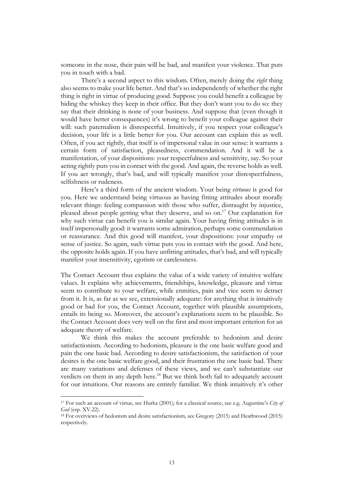someone in the nose, their pain will be bad, and manifest your violence. That puts you in touch with a bad.

There's a second aspect to this wisdom. Often, merely doing the *right* thing also seems to make your life better. And that's so independently of whether the right thing is right in virtue of producing good. Suppose you could benefit a colleague by hiding the whiskey they keep in their office. But they don't want you to do so: they say that their drinking is none of your business. And suppose that (even though it would have better consequences) it's wrong to benefit your colleague against their will: such paternalism is disrespectful. Intuitively, if you respect your colleague's decision, your life is a little better for you. Our account can explain this as well. Often, if you act rightly, that itself is of impersonal value in our sense: it warrants a certain form of satisfaction, pleasedness, commendation. And it will be a manifestation*<sup>n</sup>* of your dispositions: your respectfulness and sensitivity, say. So your acting rightly puts you in contact with the good. And again, the reverse holds as well. If you act wrongly, that's bad, and will typically manifest your disrespectfulness, selfishness or rudeness.

Here's a third form of the ancient wisdom. Your being *virtuous* is good for you. Here we understand being virtuous as having fitting attitudes about morally relevant things: feeling compassion with those who suffer, distraught by injustice, pleased about people getting what they deserve, and so on.17 Our explanation for why such virtue can benefit you is similar again. Your having fitting attitudes is in itself impersonally good: it warrants some admiration, perhaps some commendation or reassurance. And this good will manifest*<sup>n</sup>* your dispositions: your empathy or sense of justice. So again, such virtue puts you in contact with the good. And here, the opposite holds again. If you have unfitting attitudes, that's bad, and will typically manifest your insensitivity, egotism or carelessness.

The Contact Account thus explains the value of a wide variety of intuitive welfare values. It explains why achievements, friendships, knowledge, pleasure and virtue seem to contribute to your welfare, while enmities, pain and vice seem to detract from it. It is, as far as we see, extensionally adequate: for anything that is intuitively good or bad for you, the Contact Account, together with plausible assumptions, entails its being so. Moreover, the account's explanations seem to be plausible. So the Contact Account does very well on the first and most important criterion for an adequate theory of welfare.

We think this makes the account preferable to hedonism and desire satisfactionism. According to hedonism, pleasure is the one basic welfare good and pain the one basic bad. According to desire satisfactionism, the satisfaction of your desires is the one basic welfare good, and their frustration the one basic bad. There are many variations and defenses of these views, and we can't substantiate our verdicts on them in any depth here.<sup>18</sup> But we think both fail to adequately account for our intuitions. Our reasons are entirely familiar. We think intuitively it's other

<sup>17</sup> For such an account of virtue, see Hurka (2001); for a classical source, see e.g. Augustine's *City of God* (esp. XV.22).

<sup>18</sup> For overviews of hedonism and desire satisfactionism, see Gregory (2015) and Heathwood (2015) respectively.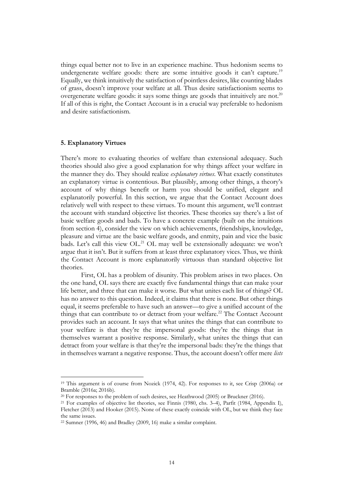things equal better not to live in an experience machine. Thus hedonism seems to undergenerate welfare goods: there are some intuitive goods it can't capture.<sup>19</sup> Equally, we think intuitively the satisfaction of pointless desires, like counting blades of grass, doesn't improve your welfare at all. Thus desire satisfactionism seems to overgenerate welfare goods: it says some things are goods that intuitively are not.<sup>20</sup> If all of this is right, the Contact Account is in a crucial way preferable to hedonism and desire satisfactionism.

#### **5. Explanatory Virtues**

There's more to evaluating theories of welfare than extensional adequacy. Such theories should also give a good explanation for why things affect your welfare in the manner they do. They should realize *explanatory virtues*. What exactly constitutes an explanatory virtue is contentious. But plausibly, among other things, a theory's account of why things benefit or harm you should be unified, elegant and explanatorily powerful. In this section, we argue that the Contact Account does relatively well with respect to these virtues. To mount this argument, we'll contrast the account with standard objective list theories. These theories say there's a list of basic welfare goods and bads. To have a concrete example (built on the intuitions from section 4), consider the view on which achievements, friendships, knowledge, pleasure and virtue are the basic welfare goods, and enmity, pain and vice the basic bads. Let's call this view  $OL^{21}$  OL may well be extensionally adequate: we won't argue that it isn't. But it suffers from at least three explanatory vices. Thus, we think the Contact Account is more explanatorily virtuous than standard objective list theories.

First, OL has a problem of disunity. This problem arises in two places. On the one hand, OL says there are exactly five fundamental things that can make your life better, and three that can make it worse. But what unites each list of things? OL has no answer to this question. Indeed, it claims that there is none. But other things equal, it seems preferable to have such an answer—to give a unified account of the things that can contribute to or detract from your welfare.<sup>22</sup> The Contact Account provides such an account. It says that what unites the things that can contribute to your welfare is that they're the impersonal goods: they're the things that in themselves warrant a positive response. Similarly, what unites the things that can detract from your welfare is that they're the impersonal bads: they're the things that in themselves warrant a negative response. Thus, the account doesn't offer mere *lists*

<sup>19</sup> This argument is of course from Nozick (1974, 42). For responses to it, see Crisp (2006a) or Bramble (2016a; 2016b).

<sup>20</sup> For responses to the problem of such desires, see Heathwood (2005) or Bruckner (2016).

<sup>21</sup> For examples of objective list theories, see Finnis (1980, chs. 3–4), Parfit (1984, Appendix I), Fletcher (2013) and Hooker (2015). None of these exactly coincide with OL, but we think they face the same issues.

<sup>22</sup> Sumner (1996, 46) and Bradley (2009, 16) make a similar complaint.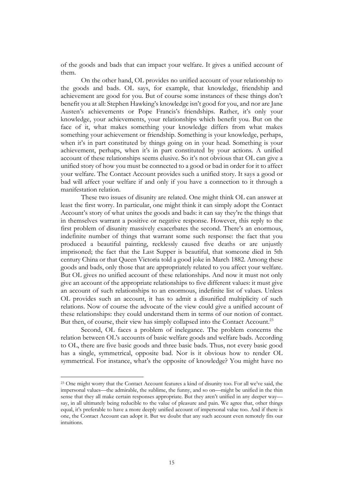of the goods and bads that can impact your welfare. It gives a unified account of them.

On the other hand, OL provides no unified account of your relationship to the goods and bads. OL says, for example, that knowledge, friendship and achievement are good for you. But of course some instances of these things don't benefit you at all: Stephen Hawking's knowledge isn't good for you, and nor are Jane Austen's achievements or Pope Francis's friendships. Rather, it's only your knowledge, your achievements, your relationships which benefit you. But on the face of it, what makes something your knowledge differs from what makes something your achievement or friendship. Something is your knowledge, perhaps, when it's in part constituted by things going on in your head. Something is your achievement, perhaps, when it's in part constituted by your actions. A unified account of these relationships seems elusive. So it's not obvious that OL can give a unified story of how you must be connected to a good or bad in order for it to affect your welfare. The Contact Account provides such a unified story. It says a good or bad will affect your welfare if and only if you have a connection to it through a manifestation relation.

These two issues of disunity are related. One might think OL can answer at least the first worry. In particular, one might think it can simply adopt the Contact Account's story of what unites the goods and bads: it can say they're the things that in themselves warrant a positive or negative response. However, this reply to the first problem of disunity massively exacerbates the second. There's an enormous, indefinite number of things that warrant some such response: the fact that you produced a beautiful painting, recklessly caused five deaths or are unjustly imprisoned; the fact that the Last Supper is beautiful, that someone died in 5th century China or that Queen Victoria told a good joke in March 1882. Among these goods and bads, only those that are appropriately related to you affect your welfare. But OL gives no unified account of these relationships. And now it must not only give an account of the appropriate relationships to five different values: it must give an account of such relationships to an enormous, indefinite list of values. Unless OL provides such an account, it has to admit a disunified multiplicity of such relations. Now of course the advocate of the view could give a unified account of these relationships: they could understand them in terms of our notion of contact. But then, of course, their view has simply collapsed into the Contact Account.<sup>23</sup>

Second, OL faces a problem of inelegance. The problem concerns the relation between OL's accounts of basic welfare goods and welfare bads. According to OL, there are five basic goods and three basic bads. Thus, not every basic good has a single, symmetrical, opposite bad. Nor is it obvious how to render OL symmetrical. For instance, what's the opposite of knowledge? You might have no

<sup>&</sup>lt;sup>23</sup> One might worry that the Contact Account features a kind of disunity too. For all we've said, the impersonal values—the admirable, the sublime, the funny, and so on—might be unified in the thin sense that they all make certain responses appropriate. But they aren't unified in any deeper way say, in all ultimately being reducible to the value of pleasure and pain. We agree that, other things equal, it's preferable to have a more deeply unified account of impersonal value too. And if there is one, the Contact Account can adopt it. But we doubt that any such account even remotely fits our intuitions.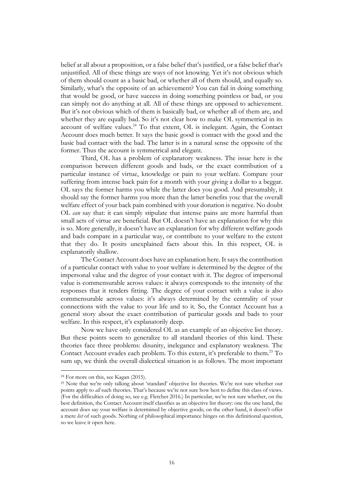belief at all about a proposition, or a false belief that's justified, or a false belief that's unjustified. All of these things are ways of not knowing. Yet it's not obvious which of them should count as a basic bad, or whether all of them should, and equally so. Similarly, what's the opposite of an achievement? You can fail in doing something that would be good, or have success in doing something pointless or bad, or you can simply not do anything at all. All of these things are opposed to achievement. But it's not obvious which of them is basically bad, or whether all of them are, and whether they are equally bad. So it's not clear how to make OL symmetrical in its account of welfare values.24 To that extent, OL is inelegant. Again, the Contact Account does much better. It says the basic good is contact with the good and the basic bad contact with the bad. The latter is in a natural sense the opposite of the former. Thus the account is symmetrical and elegant.

Third, OL has a problem of explanatory weakness. The issue here is the comparison between different goods and bads, or the exact contribution of a particular instance of virtue, knowledge or pain to your welfare. Compare your suffering from intense back pain for a month with your giving a dollar to a beggar. OL says the former harms you while the latter does you good. And presumably, it should say the former harms you more than the latter benefits you: that the overall welfare effect of your back pain combined with your donation is negative. No doubt OL *can* say that: it can simply stipulate that intense pains are more harmful than small acts of virtue are beneficial. But OL doesn't have an explanation for why this is so. More generally, it doesn't have an explanation for why different welfare goods and bads compare in a particular way, or contribute to your welfare to the extent that they do. It posits unexplained facts about this. In this respect, OL is explanatorily shallow.

The Contact Account does have an explanation here. It says the contribution of a particular contact with value to your welfare is determined by the degree of the impersonal value and the degree of your contact with it. The degree of impersonal value is commensurable across values: it always corresponds to the intensity of the responses that it renders fitting. The degree of your contact with a value is also commensurable across values: it's always determined by the centrality of your connections with the value to your life and to it. So, the Contact Account has a general story about the exact contribution of particular goods and bads to your welfare. In this respect, it's explanatorily deep.

Now we have only considered OL as an example of an objective list theory. But these points seem to generalize to all standard theories of this kind. These theories face three problems: disunity, inelegance and explanatory weakness. The Contact Account evades each problem. To this extent, it's preferable to them.<sup>25</sup> To sum up, we think the overall dialectical situation is as follows. The most important

<sup>24</sup> For more on this, see Kagan (2015).

<sup>25</sup> Note that we're only talking about 'standard' objective list theories. We're not sure whether our points apply to *all* such theories. That's because we're not sure how best to define this class of views. (For the difficulties of doing so, see e.g. Fletcher 2016.) In particular, we're not sure whether, on the best definition, the Contact Account itself classifies as an objective list theory: one the one hand, the account does say your welfare is determined by objective goods; on the other hand, it doesn't offer a mere *list* of such goods. Nothing of philosophical importance hinges on this definitional question, so we leave it open here.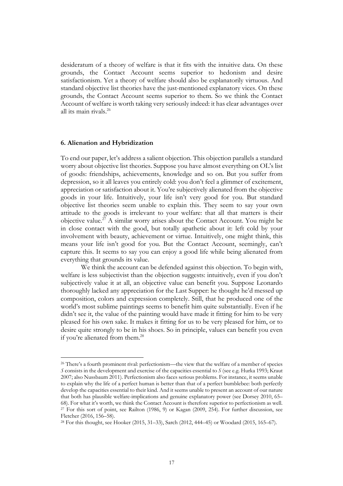desideratum of a theory of welfare is that it fits with the intuitive data. On these grounds, the Contact Account seems superior to hedonism and desire satisfactionism. Yet a theory of welfare should also be explanatorily virtuous. And standard objective list theories have the just-mentioned explanatory vices. On these grounds, the Contact Account seems superior to them. So we think the Contact Account of welfare is worth taking very seriously indeed: it has clear advantages over all its main rivals.26

## **6. Alienation and Hybridization**

To end our paper, let's address a salient objection. This objection parallels a standard worry about objective list theories. Suppose you have almost everything on OL's list of goods: friendships, achievements, knowledge and so on. But you suffer from depression, so it all leaves you entirely cold: you don't feel a glimmer of excitement, appreciation or satisfaction about it. You're subjectively alienated from the objective goods in your life. Intuitively, your life isn't very good for you. But standard objective list theories seem unable to explain this. They seem to say your own attitude to the goods is irrelevant to your welfare: that all that matters is their objective value.27 A similar worry arises about the Contact Account. You might be in close contact with the good, but totally apathetic about it: left cold by your involvement with beauty, achievement or virtue. Intuitively, one might think, this means your life isn't good for you. But the Contact Account, seemingly, can't capture this. It seems to say you can enjoy a good life while being alienated from everything that grounds its value.

We think the account can be defended against this objection. To begin with, welfare is less subjectivist than the objection suggests: intuitively, even if you don't subjectively value it at all, an objective value can benefit you. Suppose Leonardo thoroughly lacked any appreciation for the Last Supper: he thought he'd messed up composition, colors and expression completely. Still, that he produced one of the world's most sublime paintings seems to benefit him quite substantially. Even if he didn't see it, the value of the painting would have made it fitting for him to be very pleased for his own sake. It makes it fitting for us to be very pleased for him, or to desire quite strongly to be in his shoes. So in principle, values can benefit you even if you're alienated from them.<sup>28</sup>

<sup>&</sup>lt;sup>26</sup> There's a fourth prominent rival: perfectionism—the view that the welfare of a member of species *S* consists in the development and exercise of the capacities essential to *S* (see e.g. Hurka 1993; Kraut 2007; also Nussbaum 2011). Perfectionism also faces serious problems. For instance, it seems unable to explain why the life of a perfect human is better than that of a perfect bumblebee: both perfectly develop the capacities essential to their kind. And it seems unable to present an account of our nature that both has plausible welfare-implications and genuine explanatory power (see Dorsey 2010, 65– 68). For what it's worth, we think the Contact Account is therefore superior to perfectionism as well. <sup>27</sup> For this sort of point, see Railton (1986, 9) or Kagan (2009, 254). For further discussion, see Fletcher (2016, 156–58).

<sup>28</sup> For this thought, see Hooker (2015, 31–33), Sarch (2012, 444–45) or Woodard (2015, 165–67).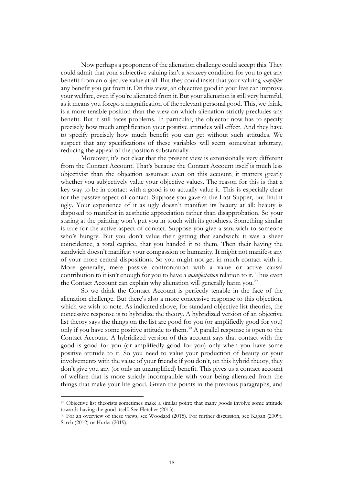Now perhaps a proponent of the alienation challenge could accept this. They could admit that your subjective valuing isn't a *necessary* condition for you to get any benefit from an objective value at all. But they could insist that your valuing *amplifies* any benefit you get from it. On this view, an objective good in your live can improve your welfare, even if you're alienated from it. But your alienation is still very harmful, as it means you forego a magnification of the relevant personal good. This, we think, is a more tenable position than the view on which alienation strictly precludes any benefit. But it still faces problems. In particular, the objector now has to specify precisely how much amplification your positive attitudes will effect. And they have to specify precisely how much benefit you can get without such attitudes. We suspect that any specifications of these variables will seem somewhat arbitrary, reducing the appeal of the position substantially.

Moreover, it's not clear that the present view is extensionally very different from the Contact Account. That's because the Contact Account itself is much less objectivist than the objection assumes: even on this account, it matters greatly whether you subjectively value your objective values. The reason for this is that a key way to be in contact with a good is to actually value it. This is especially clear for the passive aspect of contact. Suppose you gaze at the Last Supper, but find it ugly. Your experience of it as ugly doesn't manifest its beauty at all: beauty is disposed to manifest in aesthetic appreciation rather than disapprobation. So your staring at the painting won't put you in touch with its goodness. Something similar is true for the active aspect of contact. Suppose you give a sandwich to someone who's hungry. But you don't value their getting that sandwich: it was a sheer coincidence, a total caprice, that you handed it to them. Then their having the sandwich doesn't manifest your compassion or humanity. It might not manifest any of your more central dispositions. So you might not get in much contact with it. More generally, mere passive confrontation with a value or active causal contribution to it isn't enough for you to have a *manifestation* relation to it. Thus even the Contact Account can explain why alienation will generally harm you.<sup>29</sup>

So we think the Contact Account is perfectly tenable in the face of the alienation challenge. But there's also a more concessive response to this objection, which we wish to note. As indicated above, for standard objective list theories, the concessive response is to hybridize the theory. A hybridized version of an objective list theory says the things on the list are good for you (or amplifiedly good for you) only if you have some positive attitude to them.<sup>30</sup> A parallel response is open to the Contact Account. A hybridized version of this account says that contact with the good is good for you (or amplifiedly good for you) only when you have some positive attitude to it. So you need to value your production of beauty or your involvements with the value of your friends: if you don't, on this hybrid theory, they don't give you any (or only an unamplified) benefit. This gives us a contact account of welfare that is more strictly incompatible with your being alienated from the things that make your life good. Given the points in the previous paragraphs, and

<sup>29</sup> Objective list theorists sometimes make a similar point: that many goods involve some attitude towards having the good itself. See Fletcher (2013).

<sup>30</sup> For an overview of these views, see Woodard (2015). For further discussion, see Kagan (2009), Sarch (2012) or Hurka (2019).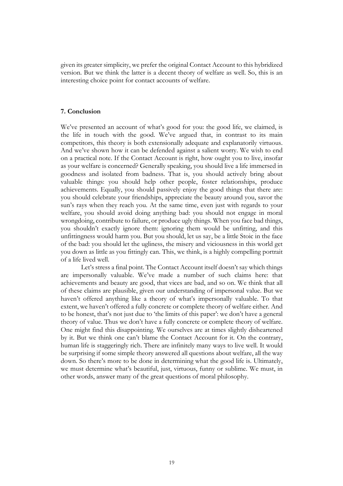given its greater simplicity, we prefer the original Contact Account to this hybridized version. But we think the latter is a decent theory of welfare as well. So, this is an interesting choice point for contact accounts of welfare.

# **7. Conclusion**

We've presented an account of what's good for you: the good life, we claimed, is the life in touch with the good. We've argued that, in contrast to its main competitors, this theory is both extensionally adequate and explanatorily virtuous. And we've shown how it can be defended against a salient worry. We wish to end on a practical note. If the Contact Account is right, how ought you to live, insofar as your welfare is concerned? Generally speaking, you should live a life immersed in goodness and isolated from badness. That is, you should actively bring about valuable things: you should help other people, foster relationships, produce achievements. Equally, you should passively enjoy the good things that there are: you should celebrate your friendships, appreciate the beauty around you, savor the sun's rays when they reach you. At the same time, even just with regards to your welfare, you should avoid doing anything bad: you should not engage in moral wrongdoing, contribute to failure, or produce ugly things. When you face bad things, you shouldn't exactly ignore them: ignoring them would be unfitting, and this unfittingness would harm you. But you should, let us say, be a little Stoic in the face of the bad: you should let the ugliness, the misery and viciousness in this world get you down as little as you fittingly can. This, we think, is a highly compelling portrait of a life lived well.

Let's stress a final point. The Contact Account itself doesn't say which things are impersonally valuable. We've made a number of such claims here: that achievements and beauty are good, that vices are bad, and so on. We think that all of these claims are plausible, given our understanding of impersonal value. But we haven't offered anything like a theory of what's impersonally valuable. To that extent, we haven't offered a fully concrete or complete theory of welfare either. And to be honest, that's not just due to 'the limits of this paper': we don't have a general theory of value. Thus we don't have a fully concrete or complete theory of welfare. One might find this disappointing. We ourselves are at times slightly disheartened by it. But we think one can't blame the Contact Account for it. On the contrary, human life is staggeringly rich. There are infinitely many ways to live well. It would be surprising if some simple theory answered all questions about welfare, all the way down. So there's more to be done in determining what the good life is. Ultimately, we must determine what's beautiful, just, virtuous, funny or sublime. We must, in other words, answer many of the great questions of moral philosophy.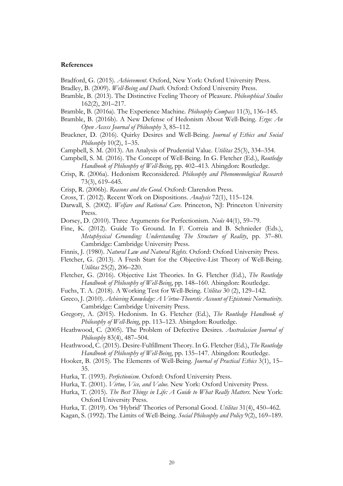#### **References**

Bradford, G. (2015). *Achievement*. Oxford, New York: Oxford University Press.

- Bradley, B. (2009). *Well-Being and Death*. Oxford: Oxford University Press.
- Bramble, B. (2013). The Distinctive Feeling Theory of Pleasure. *Philosophical Studies* 162(2), 201–217.
- Bramble, B. (2016a). The Experience Machine. *Philosophy Compass* 11(3), 136–145.
- Bramble, B. (2016b). A New Defense of Hedonism About Well-Being. *Ergo: An Open Access Journal of Philosophy* 3, 85–112.
- Bruckner, D. (2016). Quirky Desires and Well-Being. *Journal of Ethics and Social Philosophy* 10(2), 1–35.
- Campbell, S. M. (2013). An Analysis of Prudential Value. *Utilitas* 25(3), 334–354.
- Campbell, S. M. (2016). The Concept of Well-Being. In G. Fletcher (Ed.), *Routledge Handbook of Philosophy of Well-Being*, pp. 402–413. Abingdon: Routledge.
- Crisp, R. (2006a). Hedonism Reconsidered. *Philosophy and Phenomenological Research* 73(3), 619–645.
- Crisp, R. (2006b). *Reasons and the Good*. Oxford: Clarendon Press.
- Cross, T. (2012). Recent Work on Dispositions. *Analysis* 72(1), 115–124.
- Darwall, S. (2002). *Welfare and Rational Care*. Princeton, NJ: Princeton University Press.
- Dorsey, D. (2010). Three Arguments for Perfectionism. *Noûs* 44(1), 59–79.
- Fine, K. (2012). Guide To Ground. In F. Correia and B. Schnieder (Eds.), *Metaphysical Grounding: Understanding The Structure of Reality*, pp. 37–80. Cambridge: Cambridge University Press.
- Finnis, J. (1980). *Natural Law and Natural Rights*. Oxford: Oxford University Press.
- Fletcher, G. (2013). A Fresh Start for the Objective-List Theory of Well-Being. *Utilitas* 25(2), 206–220.
- Fletcher, G. (2016). Objective List Theories. In G. Fletcher (Ed.), *The Routledge Handbook of Philosophy of Well-Being*, pp. 148–160. Abingdon: Routledge.
- Fuchs, T. A. (2018). A Working Test for Well-Being. *Utilitas* 30 (2), 129–142.
- Greco, J. (2010). *Achieving Knowledge: A Virtue-Theoretic Account of Epistemic Normativity*. Cambridge: Cambridge University Press.
- Gregory, A. (2015). Hedonism. In G. Fletcher (Ed.), *The Routledge Handbook of Philosophy of Well-Being*, pp. 113–123. Abingdon: Routledge.
- Heathwood, C. (2005). The Problem of Defective Desires. *Australasian Journal of Philosophy* 83(4), 487–504.
- Heathwood, C. (2015). Desire-Fulfillment Theory. In G. Fletcher (Ed.), *The Routledge Handbook of Philosophy of Well-Being*, pp. 135–147. Abingdon: Routledge.
- Hooker, B. (2015). The Elements of Well-Being. *Journal of Practical Ethics* 3(1), 15– 35.
- Hurka, T. (1993). *Perfectionism*. Oxford: Oxford University Press.
- Hurka, T. (2001). *Virtue, Vice, and Value.* New York: Oxford University Press.
- Hurka, T. (2015). *The Best Things in Life: A Guide to What Really Matters*. New York: Oxford University Press.
- Hurka, T. (2019). On 'Hybrid' Theories of Personal Good. *Utilitas* 31(4), 450–462.
- Kagan, S. (1992). The Limits of Well-Being. *Social Philosophy and Policy* 9(2), 169–189.